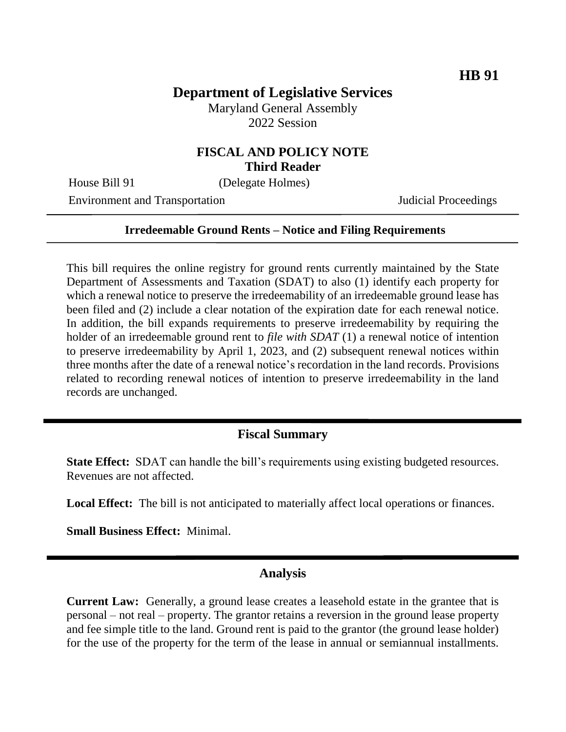# **Department of Legislative Services**

Maryland General Assembly 2022 Session

#### **FISCAL AND POLICY NOTE Third Reader**

House Bill 91 (Delegate Holmes)

Environment and Transportation Judicial Proceedings

#### **Irredeemable Ground Rents – Notice and Filing Requirements**

This bill requires the online registry for ground rents currently maintained by the State Department of Assessments and Taxation (SDAT) to also (1) identify each property for which a renewal notice to preserve the irredeemability of an irredeemable ground lease has been filed and (2) include a clear notation of the expiration date for each renewal notice. In addition, the bill expands requirements to preserve irredeemability by requiring the holder of an irredeemable ground rent to *file with SDAT* (1) a renewal notice of intention to preserve irredeemability by April 1, 2023, and (2) subsequent renewal notices within three months after the date of a renewal notice's recordation in the land records. Provisions related to recording renewal notices of intention to preserve irredeemability in the land records are unchanged.

## **Fiscal Summary**

**State Effect:** SDAT can handle the bill's requirements using existing budgeted resources. Revenues are not affected.

**Local Effect:** The bill is not anticipated to materially affect local operations or finances.

**Small Business Effect:** Minimal.

## **Analysis**

**Current Law:** Generally, a ground lease creates a leasehold estate in the grantee that is personal – not real – property. The grantor retains a reversion in the ground lease property and fee simple title to the land. Ground rent is paid to the grantor (the ground lease holder) for the use of the property for the term of the lease in annual or semiannual installments.